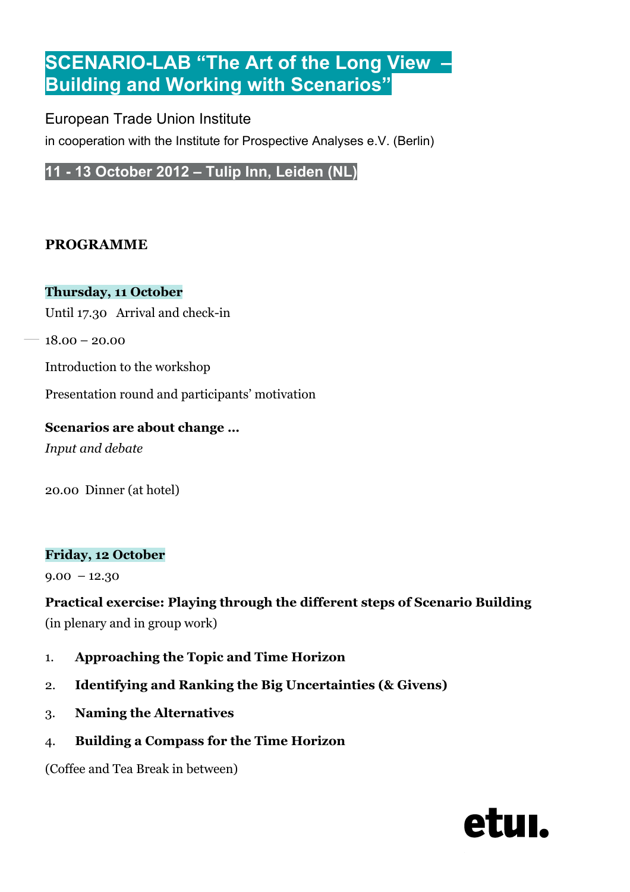# **SCENARIO-LAB "The Art of the Long View – Building and Working with Scenarios"**

## European Trade Union Institute

in cooperation with the Institute for Prospective Analyses e.V. (Berlin)

**11 - 13 October 2012 – Tulip Inn, Leiden (NL)**

## **PROGRAMME**

#### **Thursday, 11 October**

Until 17.30 Arrival and check-in

18.00 – 20.00

Introduction to the workshop

Presentation round and participants' motivation

#### **Scenarios are about change …**

*Input and debate*

20.00 Dinner (at hotel)

#### **Friday, 12 October**

 $9.00 - 12.30$ 

# **Practical exercise: Playing through the different steps of Scenario Building**

(in plenary and in group work)

- 1. **Approaching the Topic and Time Horizon**
- 2. **Identifying and Ranking the Big Uncertainties (& Givens)**
- 3. **Naming the Alternatives**
- 4. **Building a Compass for the Time Horizon**

(Coffee and Tea Break in between)